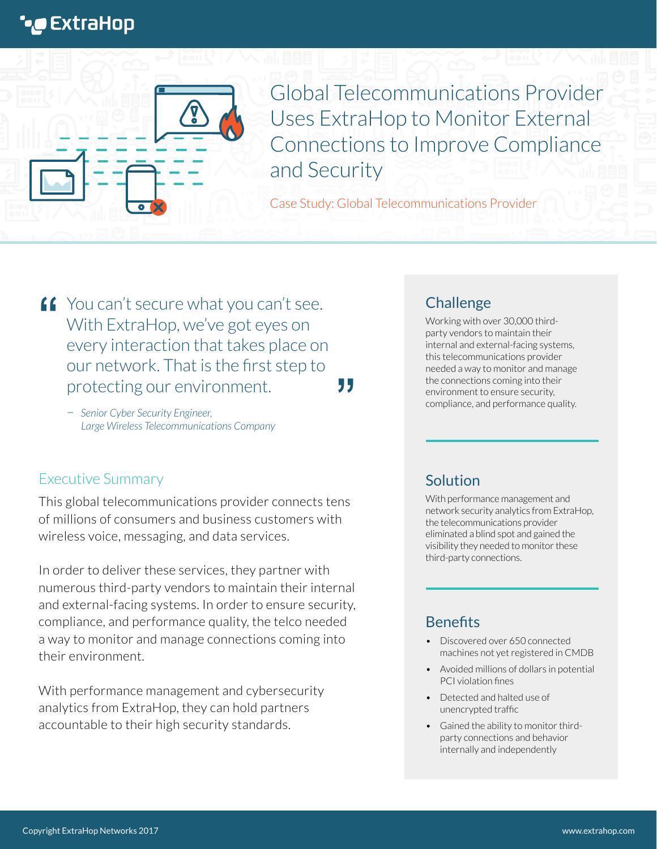# **\*@** ExtraHop

Global Telecommunications Provider Uses ExtraHop to Monitor External Connections to Improve Compliance and Security

Case Study: Global Telecommunications Provider

**"**

**f** You can't secure what you can't see.<br>With ExtraHop, we've got eyes on With ExtraHop, we've got eyes on every interaction that takes place on our network. That is the first step to protecting our environment.

– *Senior Cyber Security Engineer, Large Wireless Telecommunications Company*

## Executive Summary

This global telecommunications provider connects tens of millions of consumers and business customers with wireless voice, messaging, and data services.

In order to deliver these services, they partner with numerous third-party vendors to maintain their internal and external-facing systems. In order to ensure security, compliance, and performance quality, the telco needed a way to monitor and manage connections coming into their environment.

With performance management and cybersecurity analytics from ExtraHop, they can hold partners accountable to their high security standards.

## **Challenge**

Working with over 30,000 thirdparty vendors to maintain their internal and external-facing systems, this telecommunications provider needed a way to monitor and manage the connections coming into their environment to ensure security, compliance, and performance quality.

## Solution

With performance management and network security analytics from ExtraHop, the telecommunications provider eliminated a blind spot and gained the visibility they needed to monitor these third-party connections.

## **Benefits**

- Discovered over 650 connected machines not yet registered in CMDB
- Avoided millions of dollars in potential PCI violation fines
- Detected and halted use of unencrypted traffic
- Gained the ability to monitor thirdparty connections and behavior internally and independently